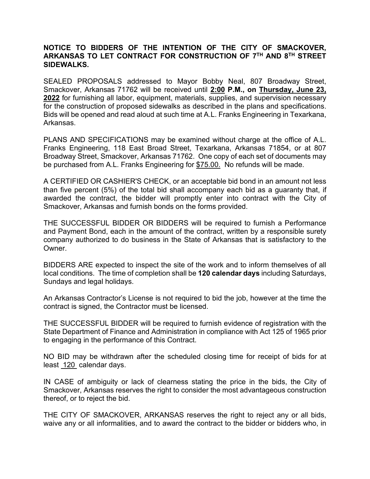## **NOTICE TO BIDDERS OF THE INTENTION OF THE CITY OF SMACKOVER, ARKANSAS TO LET CONTRACT FOR CONSTRUCTION OF 7TH AND 8TH STREET SIDEWALKS.**

SEALED PROPOSALS addressed to Mayor Bobby Neal, 807 Broadway Street, Smackover, Arkansas 71762 will be received until **2:00 P.M., on Thursday, June 23, 2022** for furnishing all labor, equipment, materials, supplies, and supervision necessary for the construction of proposed sidewalks as described in the plans and specifications. Bids will be opened and read aloud at such time at A.L. Franks Engineering in Texarkana, Arkansas.

PLANS AND SPECIFICATIONS may be examined without charge at the office of A.L. Franks Engineering, 118 East Broad Street, Texarkana, Arkansas 71854, or at 807 Broadway Street, Smackover, Arkansas 71762. One copy of each set of documents may be purchased from A.L. Franks Engineering for \$75.00. No refunds will be made.

A CERTIFIED OR CASHIER'S CHECK, or an acceptable bid bond in an amount not less than five percent (5%) of the total bid shall accompany each bid as a guaranty that, if awarded the contract, the bidder will promptly enter into contract with the City of Smackover, Arkansas and furnish bonds on the forms provided.

THE SUCCESSFUL BIDDER OR BIDDERS will be required to furnish a Performance and Payment Bond, each in the amount of the contract, written by a responsible surety company authorized to do business in the State of Arkansas that is satisfactory to the Owner.

BIDDERS ARE expected to inspect the site of the work and to inform themselves of all local conditions. The time of completion shall be **120 calendar days** including Saturdays, Sundays and legal holidays.

An Arkansas Contractor's License is not required to bid the job, however at the time the contract is signed, the Contractor must be licensed.

THE SUCCESSFUL BIDDER will be required to furnish evidence of registration with the State Department of Finance and Administration in compliance with Act 125 of 1965 prior to engaging in the performance of this Contract.

NO BID may be withdrawn after the scheduled closing time for receipt of bids for at least 120 calendar days.

IN CASE of ambiguity or lack of clearness stating the price in the bids, the City of Smackover, Arkansas reserves the right to consider the most advantageous construction thereof, or to reject the bid.

THE CITY OF SMACKOVER, ARKANSAS reserves the right to reject any or all bids, waive any or all informalities, and to award the contract to the bidder or bidders who, in